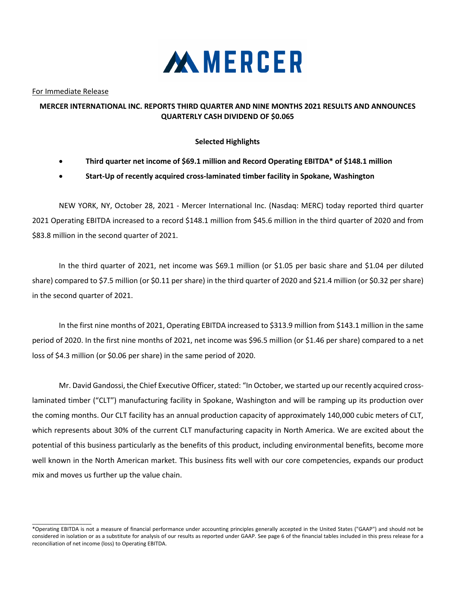

For Immediate Release

 $\_$ 

## **MERCER INTERNATIONAL INC. REPORTS THIRD QUARTER AND NINE MONTHS 2021 RESULTS AND ANNOUNCES QUARTERLY CASH DIVIDEND OF \$0.065**

### **Selected Highlights**

- **Third quarter net income of \$69.1 million and Record Operating EBITDA\* of \$148.1 million**
- **Start-Up of recently acquired cross-laminated timber facility in Spokane, Washington**

NEW YORK, NY, October 28, 2021 - Mercer International Inc. (Nasdaq: MERC) today reported third quarter 2021 Operating EBITDA increased to a record \$148.1 million from \$45.6 million in the third quarter of 2020 and from \$83.8 million in the second quarter of 2021.

In the third quarter of 2021, net income was \$69.1 million (or \$1.05 per basic share and \$1.04 per diluted share) compared to \$7.5 million (or \$0.11 per share) in the third quarter of 2020 and \$21.4 million (or \$0.32 per share) in the second quarter of 2021.

In the first nine months of 2021, Operating EBITDA increased to \$313.9 million from \$143.1 million in the same period of 2020. In the first nine months of 2021, net income was \$96.5 million (or \$1.46 per share) compared to a net loss of \$4.3 million (or \$0.06 per share) in the same period of 2020.

Mr. David Gandossi, the Chief Executive Officer, stated: "In October, we started up our recently acquired crosslaminated timber ("CLT") manufacturing facility in Spokane, Washington and will be ramping up its production over the coming months. Our CLT facility has an annual production capacity of approximately 140,000 cubic meters of CLT, which represents about 30% of the current CLT manufacturing capacity in North America. We are excited about the potential of this business particularly as the benefits of this product, including environmental benefits, become more well known in the North American market. This business fits well with our core competencies, expands our product mix and moves us further up the value chain.

<sup>\*</sup>Operating EBITDA is not a measure of financial performance under accounting principles generally accepted in the United States ("GAAP") and should not be considered in isolation or as a substitute for analysis of our results as reported under GAAP. See page 6 of the financial tables included in this press release for a reconciliation of net income (loss) to Operating EBITDA.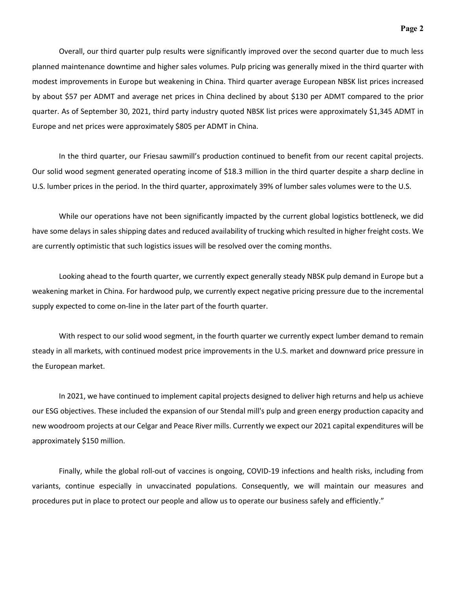Overall, our third quarter pulp results were significantly improved over the second quarter due to much less planned maintenance downtime and higher sales volumes. Pulp pricing was generally mixed in the third quarter with modest improvements in Europe but weakening in China. Third quarter average European NBSK list prices increased by about \$57 per ADMT and average net prices in China declined by about \$130 per ADMT compared to the prior quarter. As of September 30, 2021, third party industry quoted NBSK list prices were approximately \$1,345 ADMT in Europe and net prices were approximately \$805 per ADMT in China.

In the third quarter, our Friesau sawmill's production continued to benefit from our recent capital projects. Our solid wood segment generated operating income of \$18.3 million in the third quarter despite a sharp decline in U.S. lumber prices in the period. In the third quarter, approximately 39% of lumber sales volumes were to the U.S.

While our operations have not been significantly impacted by the current global logistics bottleneck, we did have some delays in sales shipping dates and reduced availability of trucking which resulted in higher freight costs. We are currently optimistic that such logistics issues will be resolved over the coming months.

Looking ahead to the fourth quarter, we currently expect generally steady NBSK pulp demand in Europe but a weakening market in China. For hardwood pulp, we currently expect negative pricing pressure due to the incremental supply expected to come on-line in the later part of the fourth quarter.

With respect to our solid wood segment, in the fourth quarter we currently expect lumber demand to remain steady in all markets, with continued modest price improvements in the U.S. market and downward price pressure in the European market.

In 2021, we have continued to implement capital projects designed to deliver high returns and help us achieve our ESG objectives. These included the expansion of our Stendal mill's pulp and green energy production capacity and new woodroom projects at our Celgar and Peace River mills. Currently we expect our 2021 capital expenditures will be approximately \$150 million.

Finally, while the global roll-out of vaccines is ongoing, COVID-19 infections and health risks, including from variants, continue especially in unvaccinated populations. Consequently, we will maintain our measures and procedures put in place to protect our people and allow us to operate our business safely and efficiently."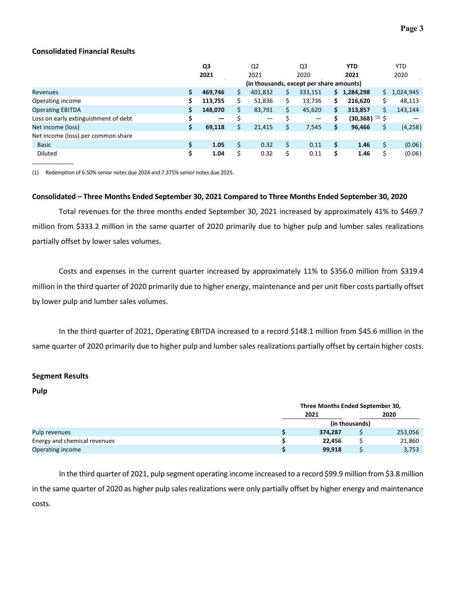### **Consolidated Financial Results**

|                                      | Q3  |                              |   | Q <sub>2</sub>                           |    | Q3      |     | <b>YTD</b>                   |    | <b>YTD</b> |
|--------------------------------------|-----|------------------------------|---|------------------------------------------|----|---------|-----|------------------------------|----|------------|
|                                      |     | 2021                         |   | 2021                                     |    | 2020    |     | 2021                         |    | 2020       |
|                                      |     |                              |   | (in thousands, except per share amounts) |    |         |     |                              |    |            |
| <b>Revenues</b>                      | \$  | 469,746                      | S | 401,832                                  | S  | 333,151 | \$. | 1,284,298                    | S. | 1,024,945  |
| Operating income                     | \$  | 113,755                      |   | 51,836                                   | \$ | 13,736  | \$  | 216,620                      |    | 48,113     |
| <b>Operating EBITDA</b>              | \$. | 148,070                      | Ś | 83,791                                   | \$ | 45,620  | \$  | 313,857                      | Ś. | 143,144    |
| Loss on early extinguishment of debt | \$  | $\qquad \qquad \blacksquare$ |   | —                                        |    | —       |     | $(30,368)$ <sup>(1)</sup> \$ |    |            |
| Net income (loss)                    | \$  | 69,118                       | Ś | 21,415                                   |    | 7,545   | \$  | 96,466                       |    | (4,258)    |
| Net income (loss) per common share   |     |                              |   |                                          |    |         |     |                              |    |            |
| <b>Basic</b>                         | \$  | 1.05                         |   | 0.32                                     | \$ | 0.11    | Ś   | 1.46                         |    | (0.06)     |
| Diluted                              | \$  | 1.04                         | Ś | 0.32                                     | \$ | 0.11    | \$  | 1.46                         |    | (0.06)     |

(1) Redemption of 6.50% senior notes due 2024 and 7.375% senior notes due 2025.

#### **Consolidated – Three Months Ended September 30, 2021 Compared to Three Months Ended September 30, 2020**

Total revenues for the three months ended September 30, 2021 increased by approximately 41% to \$469.7 million from \$333.2 million in the same quarter of 2020 primarily due to higher pulp and lumber sales realizations partially offset by lower sales volumes.

Costs and expenses in the current quarter increased by approximately 11% to \$356.0 million from \$319.4 million in the third quarter of 2020 primarily due to higher energy, maintenance and per unit fiber costs partially offset by lower pulp and lumber sales volumes.

In the third quarter of 2021, Operating EBITDA increased to a record \$148.1 million from \$45.6 million in the same quarter of 2020 primarily due to higher pulp and lumber sales realizations partially offset by certain higher costs.

#### **Segment Results**

**Pulp**

|                              | Three Months Ended September 30, |                |         |  |  |  |  |
|------------------------------|----------------------------------|----------------|---------|--|--|--|--|
|                              | 2021                             |                | 2020    |  |  |  |  |
|                              |                                  | (in thousands) |         |  |  |  |  |
| Pulp revenues                | 374.287                          |                | 253,056 |  |  |  |  |
| Energy and chemical revenues | 22.456                           |                | 21,860  |  |  |  |  |
| Operating income             | 99,918                           |                | 3,753   |  |  |  |  |

In the third quarter of 2021, pulp segment operating income increased to a record \$99.9 million from \$3.8 million in the same quarter of 2020 as higher pulp sales realizations were only partially offset by higher energy and maintenance costs.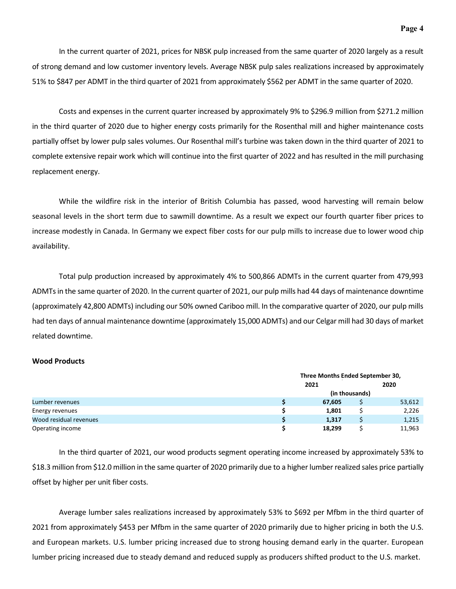In the current quarter of 2021, prices for NBSK pulp increased from the same quarter of 2020 largely as a result of strong demand and low customer inventory levels. Average NBSK pulp sales realizations increased by approximately 51% to \$847 per ADMT in the third quarter of 2021 from approximately \$562 per ADMT in the same quarter of 2020.

Costs and expenses in the current quarter increased by approximately 9% to \$296.9 million from \$271.2 million in the third quarter of 2020 due to higher energy costs primarily for the Rosenthal mill and higher maintenance costs partially offset by lower pulp sales volumes. Our Rosenthal mill's turbine was taken down in the third quarter of 2021 to complete extensive repair work which will continue into the first quarter of 2022 and has resulted in the mill purchasing replacement energy.

While the wildfire risk in the interior of British Columbia has passed, wood harvesting will remain below seasonal levels in the short term due to sawmill downtime. As a result we expect our fourth quarter fiber prices to increase modestly in Canada. In Germany we expect fiber costs for our pulp mills to increase due to lower wood chip availability.

Total pulp production increased by approximately 4% to 500,866 ADMTs in the current quarter from 479,993 ADMTs in the same quarter of 2020. In the current quarter of 2021, our pulp mills had 44 days of maintenance downtime (approximately 42,800 ADMTs) including our 50% owned Cariboo mill. In the comparative quarter of 2020, our pulp mills had ten days of annual maintenance downtime (approximately 15,000 ADMTs) and our Celgar mill had 30 days of market related downtime.

#### **Wood Products**

|                        | Three Months Ended September 30, |                |        |  |  |  |  |
|------------------------|----------------------------------|----------------|--------|--|--|--|--|
|                        | 2021                             |                | 2020   |  |  |  |  |
|                        |                                  | (in thousands) |        |  |  |  |  |
| Lumber revenues        | 67,605                           |                | 53,612 |  |  |  |  |
| Energy revenues        | 1,801                            |                | 2,226  |  |  |  |  |
| Wood residual revenues | 1,317                            |                | 1,215  |  |  |  |  |
| Operating income       | 18,299                           |                | 11,963 |  |  |  |  |

In the third quarter of 2021, our wood products segment operating income increased by approximately 53% to \$18.3 million from \$12.0 million in the same quarter of 2020 primarily due to a higher lumber realized sales price partially offset by higher per unit fiber costs.

Average lumber sales realizations increased by approximately 53% to \$692 per Mfbm in the third quarter of 2021 from approximately \$453 per Mfbm in the same quarter of 2020 primarily due to higher pricing in both the U.S. and European markets. U.S. lumber pricing increased due to strong housing demand early in the quarter. European lumber pricing increased due to steady demand and reduced supply as producers shifted product to the U.S. market.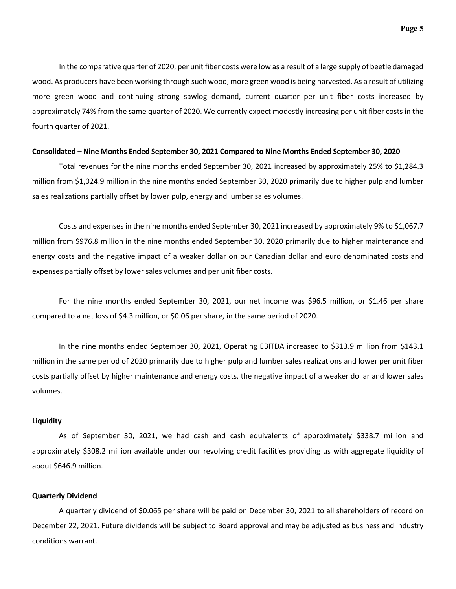In the comparative quarter of 2020, per unit fiber costs were low as a result of a large supply of beetle damaged wood. As producers have been working through such wood, more green wood is being harvested. As a result of utilizing more green wood and continuing strong sawlog demand, current quarter per unit fiber costs increased by approximately 74% from the same quarter of 2020. We currently expect modestly increasing per unit fiber costs in the fourth quarter of 2021.

#### **Consolidated – Nine Months Ended September 30, 2021 Compared to Nine Months Ended September 30, 2020**

Total revenues for the nine months ended September 30, 2021 increased by approximately 25% to \$1,284.3 million from \$1,024.9 million in the nine months ended September 30, 2020 primarily due to higher pulp and lumber sales realizations partially offset by lower pulp, energy and lumber sales volumes.

Costs and expenses in the nine months ended September 30, 2021 increased by approximately 9% to \$1,067.7 million from \$976.8 million in the nine months ended September 30, 2020 primarily due to higher maintenance and energy costs and the negative impact of a weaker dollar on our Canadian dollar and euro denominated costs and expenses partially offset by lower sales volumes and per unit fiber costs.

For the nine months ended September 30, 2021, our net income was \$96.5 million, or \$1.46 per share compared to a net loss of \$4.3 million, or \$0.06 per share, in the same period of 2020.

In the nine months ended September 30, 2021, Operating EBITDA increased to \$313.9 million from \$143.1 million in the same period of 2020 primarily due to higher pulp and lumber sales realizations and lower per unit fiber costs partially offset by higher maintenance and energy costs, the negative impact of a weaker dollar and lower sales volumes.

#### **Liquidity**

As of September 30, 2021, we had cash and cash equivalents of approximately \$338.7 million and approximately \$308.2 million available under our revolving credit facilities providing us with aggregate liquidity of about \$646.9 million.

#### **Quarterly Dividend**

A quarterly dividend of \$0.065 per share will be paid on December 30, 2021 to all shareholders of record on December 22, 2021. Future dividends will be subject to Board approval and may be adjusted as business and industry conditions warrant.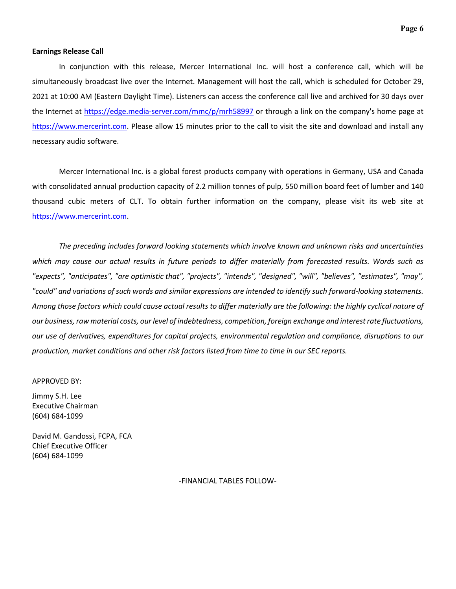#### **Earnings Release Call**

In conjunction with this release, Mercer International Inc. will host a conference call, which will be simultaneously broadcast live over the Internet. Management will host the call, which is scheduled for October 29, 2021 at 10:00 AM (Eastern Daylight Time). Listeners can access the conference call live and archived for 30 days over the Internet at <https://edge.media-server.com/mmc/p/mrh58997> or through a link on the company's home page at [https://www.mercerint.com.](https://www.mercerint.com/) Please allow 15 minutes prior to the call to visit the site and download and install any necessary audio software.

Mercer International Inc. is a global forest products company with operations in Germany, USA and Canada with consolidated annual production capacity of 2.2 million tonnes of pulp, 550 million board feet of lumber and 140 thousand cubic meters of CLT. To obtain further information on the company, please visit its web site at [https://www.mercerint.com.](https://www.mercerint.com/)

*The preceding includes forward looking statements which involve known and unknown risks and uncertainties*  which may cause our actual results in future periods to differ materially from forecasted results. Words such as *"expects", "anticipates", "are optimistic that", "projects", "intends", "designed", "will", "believes", "estimates", "may", "could" and variations of such words and similar expressions are intended to identify such forward-looking statements. Among those factors which could cause actual results to differ materially are the following: the highly cyclical nature of our business,raw material costs, our level of indebtedness, competition, foreign exchange and interest rate fluctuations, our use of derivatives, expenditures for capital projects, environmental regulation and compliance, disruptions to our production, market conditions and other risk factors listed from time to time in our SEC reports.* 

APPROVED BY:

Jimmy S.H. Lee Executive Chairman (604) 684-1099

David M. Gandossi, FCPA, FCA Chief Executive Officer (604) 684-1099

-FINANCIAL TABLES FOLLOW-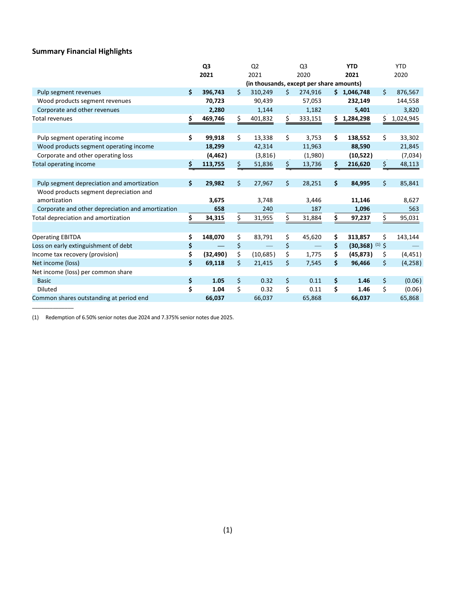# **Summary Financial Highlights**

\_\_\_\_\_\_\_\_\_\_\_\_\_\_

|                                                   |      | Q <sub>3</sub>                           |     | Q <sub>2</sub> |    | Q <sub>3</sub> |     | <b>YTD</b>                   |    | <b>YTD</b> |
|---------------------------------------------------|------|------------------------------------------|-----|----------------|----|----------------|-----|------------------------------|----|------------|
|                                                   | 2021 |                                          |     | 2021           |    | 2020           |     | 2021                         |    | 2020       |
|                                                   |      | (in thousands, except per share amounts) |     |                |    |                |     |                              |    |            |
| Pulp segment revenues                             | \$   | 396,743                                  | Ś   | 310,249        | Ś. | 274,916        |     | \$1,046,748                  | \$ | 876,567    |
| Wood products segment revenues                    |      | 70,723                                   |     | 90,439         |    | 57,053         |     | 232,149                      |    | 144,558    |
| Corporate and other revenues                      |      | 2,280                                    |     | 1,144          |    | 1,182          |     | 5,401                        |    | 3,820      |
| Total revenues                                    | \$   | 469,746                                  | \$  | 401,832        | \$ | 333,151        | \$. | 1,284,298                    | \$ | 1,024,945  |
|                                                   |      |                                          |     |                |    |                |     |                              |    |            |
| Pulp segment operating income                     | \$   | 99,918                                   | Ś.  | 13,338         | \$ | 3,753          | \$  | 138,552                      | \$ | 33,302     |
| Wood products segment operating income            |      | 18,299                                   |     | 42,314         |    | 11,963         |     | 88,590                       |    | 21,845     |
| Corporate and other operating loss                |      | (4, 462)                                 |     | (3,816)        |    | (1,980)        |     | (10,522)                     |    | (7,034)    |
| Total operating income                            | \$   | 113,755                                  | \$  | 51,836         | \$ | 13,736         | \$  | 216,620                      | \$ | 48,113     |
|                                                   |      |                                          |     |                |    |                |     |                              |    |            |
| Pulp segment depreciation and amortization        | \$   | 29,982                                   | Ś.  | 27,967         | \$ | 28,251         | \$  | 84,995                       | Ś. | 85,841     |
| Wood products segment depreciation and            |      |                                          |     |                |    |                |     |                              |    |            |
| amortization                                      |      | 3,675                                    |     | 3,748          |    | 3,446          |     | 11,146                       |    | 8,627      |
| Corporate and other depreciation and amortization |      | 658                                      |     | 240            |    | 187            |     | 1,096                        |    | 563        |
| Total depreciation and amortization               | \$   | 34,315                                   | \$. | 31,955         | \$ | 31,884         | \$  | 97,237                       | Ś  | 95,031     |
|                                                   |      |                                          |     |                |    |                |     |                              |    |            |
| <b>Operating EBITDA</b>                           | \$   | 148,070                                  | \$  | 83,791         | \$ | 45,620         | \$  | 313,857                      | \$ | 143,144    |
| Loss on early extinguishment of debt              | \$   |                                          | \$  |                | \$ |                | \$  | $(30,368)$ <sup>(1)</sup> \$ |    |            |
| Income tax recovery (provision)                   | \$   | (32, 490)                                | \$  | (10,685)       | \$ | 1,775          | \$  | (45, 873)                    | \$ | (4, 451)   |
| Net income (loss)                                 | \$   | 69,118                                   | \$  | 21,415         | \$ | 7,545          | \$  | 96,466                       | \$ | (4,258)    |
| Net income (loss) per common share                |      |                                          |     |                |    |                |     |                              |    |            |
| <b>Basic</b>                                      | \$   | 1.05                                     | \$  | 0.32           | \$ | 0.11           | \$  | 1.46                         | \$ | (0.06)     |
| Diluted                                           | \$   | 1.04                                     | \$  | 0.32           | \$ | 0.11           | \$  | 1.46                         | \$ | (0.06)     |
| Common shares outstanding at period end           |      | 66,037                                   |     | 66,037         |    | 65,868         |     | 66,037                       |    | 65,868     |

(1) Redemption of 6.50% senior notes due 2024 and 7.375% senior notes due 2025.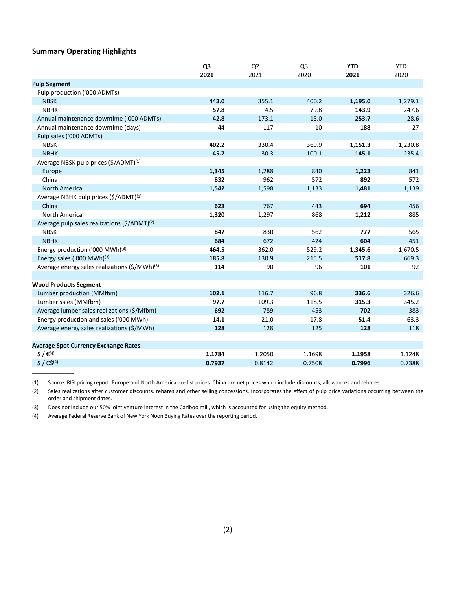### **Summary Operating Highlights**

\_\_\_\_\_\_\_\_\_\_\_\_\_\_

|                                                           | Q <sub>3</sub> | Q <sub>2</sub> | Q <sub>3</sub> | <b>YTD</b> | <b>YTD</b> |
|-----------------------------------------------------------|----------------|----------------|----------------|------------|------------|
|                                                           | 2021           | 2021           | 2020           | 2021       | 2020       |
| <b>Pulp Segment</b>                                       |                |                |                |            |            |
| Pulp production ('000 ADMTs)                              |                |                |                |            |            |
| <b>NBSK</b>                                               | 443.0          | 355.1          | 400.2          | 1,195.0    | 1,279.1    |
| <b>NBHK</b>                                               | 57.8           | 4.5            | 79.8           | 143.9      | 247.6      |
| Annual maintenance downtime ('000 ADMTs)                  | 42.8           | 173.1          | 15.0           | 253.7      | 28.6       |
| Annual maintenance downtime (days)                        | 44             | 117            | 10             | 188        | 27         |
| Pulp sales ('000 ADMTs)                                   |                |                |                |            |            |
| <b>NBSK</b>                                               | 402.2          | 330.4          | 369.9          | 1,151.3    | 1,230.8    |
| <b>NBHK</b>                                               | 45.7           | 30.3           | 100.1          | 145.1      | 235.4      |
| Average NBSK pulp prices (\$/ADMT) <sup>(1)</sup>         |                |                |                |            |            |
| Europe                                                    | 1,345          | 1,288          | 840            | 1,223      | 841        |
| China                                                     | 832            | 962            | 572            | 892        | 572        |
| <b>North America</b>                                      | 1,542          | 1,598          | 1,133          | 1,481      | 1,139      |
| Average NBHK pulp prices (\$/ADMT) <sup>(1)</sup>         |                |                |                |            |            |
| China                                                     | 623            | 767            | 443            | 694        | 456        |
| North America                                             | 1,320          | 1,297          | 868            | 1,212      | 885        |
| Average pulp sales realizations (\$/ADMT) <sup>(2)</sup>  |                |                |                |            |            |
| <b>NBSK</b>                                               | 847            | 830            | 562            | 777        | 565        |
| <b>NBHK</b>                                               | 684            | 672            | 424            | 604        | 451        |
| Energy production ('000 MWh) <sup>(3)</sup>               | 464.5          | 362.0          | 529.2          | 1,345.6    | 1,670.5    |
| Energy sales ('000 MWh) <sup>(3)</sup>                    | 185.8          | 130.9          | 215.5          | 517.8      | 669.3      |
| Average energy sales realizations (\$/MWh) <sup>(3)</sup> | 114            | 90             | 96             | 101        | 92         |
|                                                           |                |                |                |            |            |
| <b>Wood Products Segment</b>                              |                |                |                |            |            |
| Lumber production (MMfbm)                                 | 102.1          | 116.7          | 96.8           | 336.6      | 326.6      |
| Lumber sales (MMfbm)                                      | 97.7           | 109.3          | 118.5          | 315.3      | 345.2      |
| Average lumber sales realizations (\$/Mfbm)               | 692            | 789            | 453            | 702        | 383        |
| Energy production and sales ('000 MWh)                    | 14.1           | 21.0           | 17.8           | 51.4       | 63.3       |
| Average energy sales realizations (\$/MWh)                | 128            | 128            | 125            | 128        | 118        |
|                                                           |                |                |                |            |            |
| <b>Average Spot Currency Exchange Rates</b>               |                |                |                |            |            |
| $\zeta / \varepsilon^{(4)}$                               | 1.1784         | 1.2050         | 1.1698         | 1.1958     | 1.1248     |
| $$ / C$^{(4)}$                                            | 0.7937         | 0.8142         | 0.7508         | 0.7996     | 0.7388     |

(1) Source: RISI pricing report. Europe and North America are list prices. China are net prices which include discounts, allowances and rebates.

(2) Sales realizations after customer discounts, rebates and other selling concessions. Incorporates the effect of pulp price variations occurring between the order and shipment dates.

(3) Does not include our 50% joint venture interest in the Cariboo mill, which is accounted for using the equity method.

(4) Average Federal Reserve Bank of New York Noon Buying Rates over the reporting period.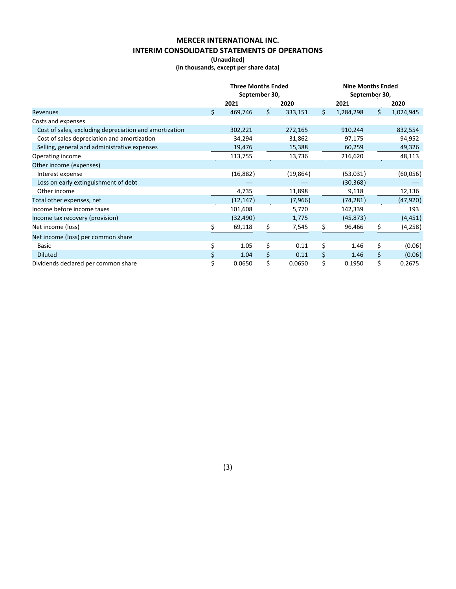# **MERCER INTERNATIONAL INC. INTERIM CONSOLIDATED STATEMENTS OF OPERATIONS**

**(Unaudited)**

**(In thousands, except per share data)**

|                                                        |     | <b>Three Months Ended</b><br>September 30, |     |           |    | <b>Nine Months Ended</b><br>September 30, |    |           |
|--------------------------------------------------------|-----|--------------------------------------------|-----|-----------|----|-------------------------------------------|----|-----------|
|                                                        |     | 2021                                       |     | 2020      |    | 2021                                      |    | 2020      |
| Revenues                                               | \$. | 469,746                                    | \$. | 333,151   | \$ | 1,284,298                                 | \$ | 1,024,945 |
| Costs and expenses                                     |     |                                            |     |           |    |                                           |    |           |
| Cost of sales, excluding depreciation and amortization |     | 302,221                                    |     | 272,165   |    | 910,244                                   |    | 832,554   |
| Cost of sales depreciation and amortization            |     | 34,294                                     |     | 31,862    |    | 97,175                                    |    | 94,952    |
| Selling, general and administrative expenses           |     | 19,476                                     |     | 15,388    |    | 60,259                                    |    | 49,326    |
| Operating income                                       |     | 113,755                                    |     | 13,736    |    | 216,620                                   |    | 48,113    |
| Other income (expenses)                                |     |                                            |     |           |    |                                           |    |           |
| Interest expense                                       |     | (16,882)                                   |     | (19, 864) |    | (53,031)                                  |    | (60,056)  |
| Loss on early extinguishment of debt                   |     |                                            |     |           |    | (30, 368)                                 |    |           |
| Other income                                           |     | 4,735                                      |     | 11,898    |    | 9,118                                     |    | 12,136    |
| Total other expenses, net                              |     | (12, 147)                                  |     | (7,966)   |    | (74, 281)                                 |    | (47, 920) |
| Income before income taxes                             |     | 101,608                                    |     | 5,770     |    | 142,339                                   |    | 193       |
| Income tax recovery (provision)                        |     | (32, 490)                                  |     | 1,775     |    | (45, 873)                                 |    | (4,451)   |
| Net income (loss)                                      |     | 69,118                                     | S.  | 7,545     | S. | 96,466                                    | S  | (4,258)   |
| Net income (loss) per common share                     |     |                                            |     |           |    |                                           |    |           |
| Basic                                                  | \$  | 1.05                                       | \$  | 0.11      | \$ | 1.46                                      | \$ | (0.06)    |
| <b>Diluted</b>                                         | \$  | 1.04                                       | Ś   | 0.11      | \$ | 1.46                                      | \$ | (0.06)    |
| Dividends declared per common share                    | \$  | 0.0650                                     | \$  | 0.0650    | \$ | 0.1950                                    | \$ | 0.2675    |

(3)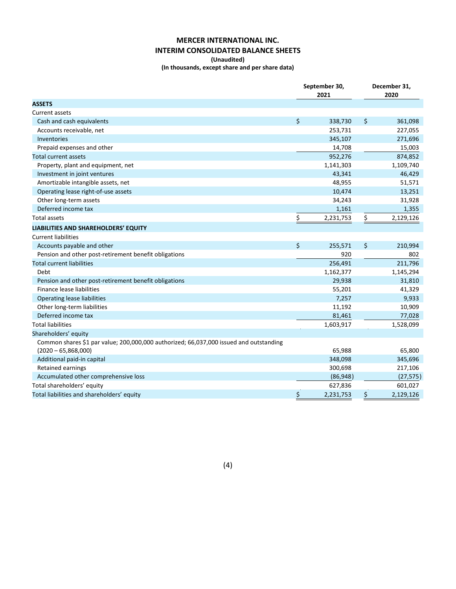# **MERCER INTERNATIONAL INC. INTERIM CONSOLIDATED BALANCE SHEETS**

#### **(Unaudited)**

**(In thousands, except share and per share data)**

|                                                                                        | September 30,<br>2021 | December 31,<br>2020 |           |  |
|----------------------------------------------------------------------------------------|-----------------------|----------------------|-----------|--|
| <b>ASSETS</b>                                                                          |                       |                      |           |  |
| <b>Current assets</b>                                                                  |                       |                      |           |  |
| Cash and cash equivalents                                                              | \$<br>338,730         | \$                   | 361,098   |  |
| Accounts receivable, net                                                               | 253,731               |                      | 227,055   |  |
| <b>Inventories</b>                                                                     | 345,107               |                      | 271,696   |  |
| Prepaid expenses and other                                                             | 14,708                |                      | 15,003    |  |
| Total current assets                                                                   | 952,276               |                      | 874,852   |  |
| Property, plant and equipment, net                                                     | 1,141,303             |                      | 1,109,740 |  |
| Investment in joint ventures                                                           | 43,341                |                      | 46,429    |  |
| Amortizable intangible assets, net                                                     | 48,955                |                      | 51,571    |  |
| Operating lease right-of-use assets                                                    | 10,474                |                      | 13,251    |  |
| Other long-term assets                                                                 | 34,243                |                      | 31,928    |  |
| Deferred income tax                                                                    | 1,161                 |                      | 1,355     |  |
| Total assets                                                                           | \$<br>2,231,753       | \$                   | 2,129,126 |  |
| LIABILITIES AND SHAREHOLDERS' EQUITY                                                   |                       |                      |           |  |
| <b>Current liabilities</b>                                                             |                       |                      |           |  |
| Accounts payable and other                                                             | \$<br>255,571         | \$                   | 210,994   |  |
| Pension and other post-retirement benefit obligations                                  | 920                   |                      | 802       |  |
| <b>Total current liabilities</b>                                                       | 256,491               |                      | 211,796   |  |
| Debt                                                                                   | 1,162,377             |                      | 1,145,294 |  |
| Pension and other post-retirement benefit obligations                                  | 29,938                |                      | 31,810    |  |
| Finance lease liabilities                                                              | 55,201                |                      | 41,329    |  |
| <b>Operating lease liabilities</b>                                                     | 7,257                 |                      | 9,933     |  |
| Other long-term liabilities                                                            | 11,192                |                      | 10,909    |  |
| Deferred income tax                                                                    | 81,461                |                      | 77,028    |  |
| <b>Total liabilities</b>                                                               | 1,603,917             |                      | 1,528,099 |  |
| Shareholders' equity                                                                   |                       |                      |           |  |
| Common shares \$1 par value; 200,000,000 authorized; 66,037,000 issued and outstanding |                       |                      |           |  |
| $(2020 - 65,868,000)$                                                                  | 65,988                |                      | 65,800    |  |
| Additional paid-in capital                                                             | 348,098               |                      | 345,696   |  |
| Retained earnings                                                                      | 300,698               |                      | 217,106   |  |
| Accumulated other comprehensive loss                                                   | (86, 948)             |                      | (27, 575) |  |
| Total shareholders' equity                                                             | 627,836               |                      | 601,027   |  |
| Total liabilities and shareholders' equity                                             | \$<br>2,231,753       | \$                   | 2,129,126 |  |

(4)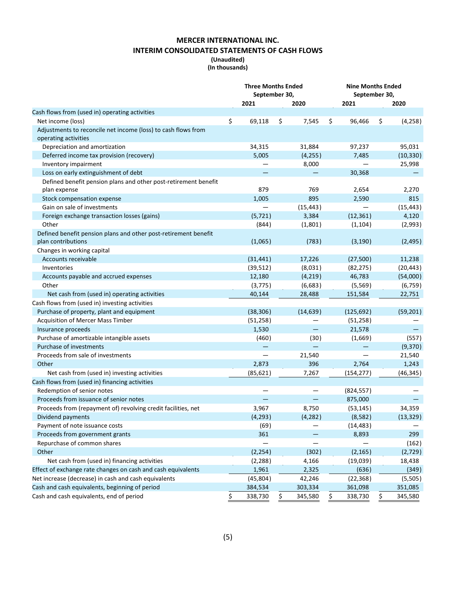# **MERCER INTERNATIONAL INC. INTERIM CONSOLIDATED STATEMENTS OF CASH FLOWS**

#### **(Unaudited) (In thousands)**

|                                                                 | <b>Three Months Ended</b><br>September 30, |     |           | <b>Nine Months Ended</b><br>September 30, |            |    |           |  |
|-----------------------------------------------------------------|--------------------------------------------|-----|-----------|-------------------------------------------|------------|----|-----------|--|
|                                                                 | 2021                                       |     | 2020      |                                           | 2021       |    | 2020      |  |
| Cash flows from (used in) operating activities                  |                                            |     |           |                                           |            |    |           |  |
| Net income (loss)                                               | \$<br>69,118                               | \$  | 7,545     | \$                                        | 96,466     | \$ | (4, 258)  |  |
| Adjustments to reconcile net income (loss) to cash flows from   |                                            |     |           |                                           |            |    |           |  |
| operating activities                                            |                                            |     |           |                                           |            |    |           |  |
| Depreciation and amortization                                   | 34,315                                     |     | 31,884    |                                           | 97,237     |    | 95,031    |  |
| Deferred income tax provision (recovery)                        | 5,005                                      |     | (4, 255)  |                                           | 7,485      |    | (10, 330) |  |
| Inventory impairment                                            |                                            |     | 8,000     |                                           |            |    | 25,998    |  |
| Loss on early extinguishment of debt                            |                                            |     |           |                                           | 30,368     |    |           |  |
| Defined benefit pension plans and other post-retirement benefit |                                            |     |           |                                           |            |    |           |  |
| plan expense                                                    | 879                                        |     | 769       |                                           | 2,654      |    | 2,270     |  |
| Stock compensation expense                                      | 1,005                                      |     | 895       |                                           | 2,590      |    | 815       |  |
| Gain on sale of investments                                     |                                            |     | (15, 443) |                                           |            |    | (15, 443) |  |
| Foreign exchange transaction losses (gains)                     | (5, 721)                                   |     | 3,384     |                                           | (12, 361)  |    | 4,120     |  |
| Other                                                           | (844)                                      |     | (1,801)   |                                           | (1, 104)   |    | (2,993)   |  |
| Defined benefit pension plans and other post-retirement benefit |                                            |     |           |                                           |            |    |           |  |
| plan contributions                                              | (1,065)                                    |     | (783)     |                                           | (3, 190)   |    | (2, 495)  |  |
| Changes in working capital                                      |                                            |     |           |                                           |            |    |           |  |
| Accounts receivable                                             | (31, 441)                                  |     | 17,226    |                                           | (27,500)   |    | 11,238    |  |
| Inventories                                                     | (39, 512)                                  |     | (8,031)   |                                           | (82, 275)  |    | (20, 443) |  |
| Accounts payable and accrued expenses                           | 12,180                                     |     | (4, 219)  |                                           | 46,783     |    | (54,000)  |  |
| Other                                                           | (3, 775)                                   |     | (6,683)   |                                           | (5, 569)   |    | (6, 759)  |  |
| Net cash from (used in) operating activities                    | 40,144                                     |     | 28,488    |                                           | 151,584    |    | 22,751    |  |
| Cash flows from (used in) investing activities                  |                                            |     |           |                                           |            |    |           |  |
| Purchase of property, plant and equipment                       | (38, 306)                                  |     | (14, 639) |                                           | (125, 692) |    | (59, 201) |  |
| Acquisition of Mercer Mass Timber                               | (51, 258)                                  |     |           |                                           | (51, 258)  |    |           |  |
| Insurance proceeds                                              | 1,530                                      |     |           |                                           | 21,578     |    |           |  |
| Purchase of amortizable intangible assets                       | (460)                                      |     | (30)      |                                           | (1,669)    |    | (557)     |  |
| Purchase of investments                                         |                                            |     |           |                                           |            |    | (9,370)   |  |
| Proceeds from sale of investments                               |                                            |     | 21,540    |                                           |            |    | 21,540    |  |
| Other                                                           | 2,873                                      |     | 396       |                                           | 2,764      |    | 1,243     |  |
| Net cash from (used in) investing activities                    | (85, 621)                                  |     | 7,267     |                                           | (154, 277) |    | (46, 345) |  |
| Cash flows from (used in) financing activities                  |                                            |     |           |                                           |            |    |           |  |
| Redemption of senior notes                                      |                                            |     |           |                                           | (824, 557) |    |           |  |
| Proceeds from issuance of senior notes                          |                                            |     |           |                                           | 875,000    |    |           |  |
| Proceeds from (repayment of) revolving credit facilities, net   | 3,967                                      |     | 8,750     |                                           | (53, 145)  |    | 34,359    |  |
| Dividend payments                                               | (4, 293)                                   |     | (4, 282)  |                                           | (8,582)    |    | (13, 329) |  |
| Payment of note issuance costs                                  | (69)                                       |     |           |                                           | (14, 483)  |    |           |  |
| Proceeds from government grants                                 | 361                                        |     |           |                                           | 8,893      |    | 299       |  |
| Repurchase of common shares                                     |                                            |     |           |                                           |            |    | (162)     |  |
| Other                                                           | (2, 254)                                   |     | (302)     |                                           | (2, 165)   |    | (2,729)   |  |
| Net cash from (used in) financing activities                    | (2, 288)                                   |     | 4,166     |                                           | (19, 039)  |    | 18,438    |  |
| Effect of exchange rate changes on cash and cash equivalents    | 1,961                                      |     | 2,325     |                                           | (636)      |    | (349)     |  |
| Net increase (decrease) in cash and cash equivalents            | (45, 804)                                  |     | 42,246    |                                           | (22, 368)  |    | (5,505)   |  |
| Cash and cash equivalents, beginning of period                  | 384,534                                    |     | 303,334   |                                           | 361,098    |    | 351,085   |  |
| Cash and cash equivalents, end of period                        | 338,730                                    | \$, | 345,580   |                                           | 338,730    | Ş  | 345,580   |  |